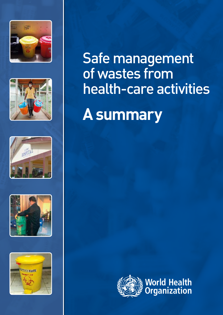









# Safe management of wastes from health-care activities

**A summary**

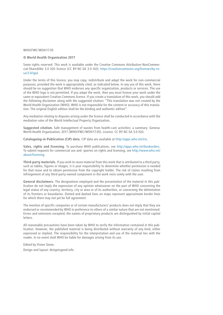#### WHO/FWC/WSH/17.05

#### **© World Health Organization 2017**

Some rights reserved. This work is available under the Creative Commons Attribution-NonCommercial-ShareAlike 3.0 IGO licence (CC BY-NC-SA 3.0 IGO; [https://creativecommons.org/licenses/by-nc](https://creativecommons.org/licenses/by-nc-sa/3.0/igo)[sa/3.0/igo\)](https://creativecommons.org/licenses/by-nc-sa/3.0/igo).

Under the terms of this licence, you may copy, redistribute and adapt the work for non-commercial purposes, provided the work is appropriately cited, as indicated below. In any use of this work, there should be no suggestion that WHO endorses any specific organization, products or services. The use of the WHO logo is not permitted. If you adapt the work, then you must license your work under the same or equivalent Creative Commons licence. If you create a translation of this work, you should add the following disclaimer along with the suggested citation: "This translation was not created by the World Health Organization (WHO). WHO is not responsible for the content or accuracy of this translation. The original English edition shall be the binding and authentic edition".

Any mediation relating to disputes arising under the licence shall be conducted in accordance with the mediation rules of the World Intellectual Property Organization..

**Suggested citation.** Safe management of wastes from health-care activities: a summary. Geneva: World Health Organization; 2017 (WHO/FWC/WSH/17.05). Licence: CC BY-NC-SA 3.0 IGO.

**Cataloguing-in-Publication (CIP) data.** CIP data are available at [http://apps.who.int/iris.](http://apps.who.int/iris)

**Sales, rights and licensing.** To purchase WHO publications, see [http://apps.who.int/bookorders.](http://apps.who.int/bookorders) To submit requests for commercial use and queries on rights and licensing, see [http://www.who.int/](http://www.who.int/about/licensing) [about/licensing](http://www.who.int/about/licensing).

**Third-party materials.** If you wish to reuse material from this work that is attributed to a third party, such as tables, figures or images, it is your responsibility to determine whether permission is needed for that reuse and to obtain permission from the copyright holder. The risk of claims resulting from infringement of any third-party-owned component in the work rests solely with the user.

**General disclaimers.** The designations employed and the presentation of the material in this publication do not imply the expression of any opinion whatsoever on the part of WHO concerning the legal status of any country, territory, city or area or of its authorities, or concerning the delimitation of its frontiers or boundaries. Dotted and dashed lines on maps represent approximate border lines for which there may not yet be full agreement.

The mention of specific companies or of certain manufacturers' products does not imply that they are endorsed or recommended by WHO in preference to others of a similar nature that are not mentioned. Errors and omissions excepted, the names of proprietary products are distinguished by initial capital letters.

All reasonable precautions have been taken by WHO to verify the information contained in this publication. However, the published material is being distributed without warranty of any kind, either expressed or implied. The responsibility for the interpretation and use of the material lies with the reader. In no event shall WHO be liable for damages arising from its use.

Edited by Vivien Stone. Design and layout: designisgood.info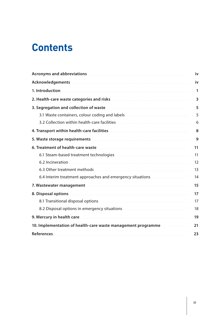# **Contents**

|                                                                                                                                                                                                                                      | iv |
|--------------------------------------------------------------------------------------------------------------------------------------------------------------------------------------------------------------------------------------|----|
|                                                                                                                                                                                                                                      | iv |
| 1. Introduction <b>Automaking Construction</b>                                                                                                                                                                                       | 1  |
| 2. Health-care waste categories and risks <b>Commission Contract and September 2.</b>                                                                                                                                                | 3  |
|                                                                                                                                                                                                                                      | 5  |
|                                                                                                                                                                                                                                      | 5  |
|                                                                                                                                                                                                                                      | 6  |
|                                                                                                                                                                                                                                      | 8  |
|                                                                                                                                                                                                                                      | 9  |
| 6. Treatment of health-care waste                                                                                                                                                                                                    | 11 |
|                                                                                                                                                                                                                                      | 11 |
| 6.2 Incineration                                                                                                                                                                                                                     | 12 |
| 6.3 Other treatment methods <b>State and State and State and State and State and State and State and State and State and State and State and State and State and State and State and State and State and State and State and Sta</b> | 13 |
| 6.4 Interim treatment approaches and emergency situations <b>CONFINGLEY 10</b> 10 14 16 17                                                                                                                                           | 14 |
|                                                                                                                                                                                                                                      | 15 |
|                                                                                                                                                                                                                                      | 17 |
|                                                                                                                                                                                                                                      | 17 |
| 8.2 Disposal options in emergency situations <b>CONSTANT AND THE READER OF STANDARY SIGNS</b>                                                                                                                                        | 18 |
| 9. Mercury in health care <b>San According to the Contract of According to the Contract of According to According to According the Contract of According to According the Contract of According to According the Contract of Acc</b> | 19 |
|                                                                                                                                                                                                                                      | 21 |
|                                                                                                                                                                                                                                      | 23 |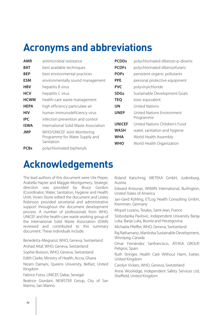# <span id="page-3-0"></span>**Acronyms and abbreviations**

| AMR         | antimicrobial resistance                                                           |
|-------------|------------------------------------------------------------------------------------|
| BAT         | best available techniques                                                          |
| BEP         | best environmental practices                                                       |
| <b>ESM</b>  | environmentally sound management                                                   |
| HBV         | hepatitis B virus                                                                  |
| HCV         | hepatitis C virus                                                                  |
| <b>HCWM</b> | health-care waste management                                                       |
| <b>HEPA</b> | high efficiency particulate air                                                    |
| HIV         | human immunodeficiency virus                                                       |
| <b>IPC</b>  | infection prevention and control                                                   |
| <b>ISWA</b> | International Solid Waste Association                                              |
| <b>JMP</b>  | <b>WHO/UNICEF Joint Monitoring</b><br>Programme for Water Supply and<br>Sanitation |
| <b>PCBs</b> | polychlorinated biphenyls                                                          |

| <b>PCDDs</b>  | polychlorinated dibenzo-p-dioxins       |  |  |  |
|---------------|-----------------------------------------|--|--|--|
| <b>PCDFs</b>  | polychlorinated dibenzofurans           |  |  |  |
| <b>POPs</b>   | persistent organic pollutants           |  |  |  |
| <b>PPE</b>    | personal protective equipment           |  |  |  |
| <b>PVC</b>    | polyvinylchloride                       |  |  |  |
| <b>SDGs</b>   | Sustainable Development Goals           |  |  |  |
| <b>TEQ</b>    | toxic equivalent                        |  |  |  |
| UN            | United Nations                          |  |  |  |
| <b>UNEP</b>   | United Nations Environment<br>Programme |  |  |  |
| <b>UNICFF</b> | United Nations Children's Fund          |  |  |  |
| WASH          | water, sanitation and hygiene           |  |  |  |
| <b>WHA</b>    | World Health Assembly                   |  |  |  |
| WHO           | World Health Organization               |  |  |  |

# **Acknowledgements**

The lead authors of this document were Ute Pieper, Arabella Hayter and Maggie Montgomery. Strategic direction was provided by Bruce Gordon (Coordinator, Water, Sanitation, Hygiene and Health Unit). Vivien Stone edited the document and Lesley Robinson provided secretarial and administrative support throughout the document development process. A number of professionals from WHO, UNICEF and the health-care waste working group of the International Solid Waste Association (ISWA) reviewed and contributed to this summary document. These individuals include:

Benedetta Allegranzi, WHO, Geneva, Switzerland

Arshad Altaf, WHO, Geneva, Switzerland

Sophie Boisson, WHO, Geneva, Switzerland

Edith Clarke, Ministry of Health, Accra, Ghana

Nizam Damani, Queens University, Belfast, United Kingdom

Fabrice Fotso, UNICEF, Dakar, Senegal

Beatrice Giordani, NEWSTER Group, City of San Marino, San Marino

Roland Katschnig, METEKA GmbH, Judenburg, Austria

Edward Krisiunas, WNWN International, Burlington, United States of America

Jan-Gerd Kühling, ETLog Health Consulting GmbH, Kremmen, Germany

Miquel Lozano, Tesalys, Saint-Jean, France

Slobodanka Pavlovic, Independent University Banja Luka, Banja Luka, Bosnia and Herzegovina

Michaela Pfeiffer, WHO, Geneva, Switzerland

Raj Rathamano, Manitoba Sustainable Development, Winnipeg, Canada

Omar Fernández Sanfrancisco, ATHISA GROUP, Peligros, Spain

Ruth Stringer, Health Care Without Harm, Exeter, United Kingdom

Carolyn Vickers, WHO, Geneva, Switzerland

Anne Woolridge, Independent Safety Services Ltd, Sheffield, United Kingdom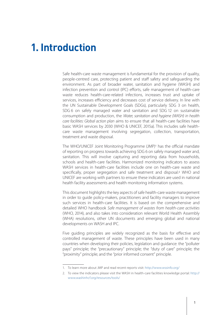### <span id="page-4-0"></span>**1. Introduction**

Safe health-care waste management is fundamental for the provision of quality, people-centred care, protecting patient and staff safety and safeguarding the environment. As part of broader water, sanitation and hygiene (WASH) and infection prevention and control (IPC) efforts, safe management of health-care waste reduces health-care-related infections, increases trust and uptake of services, increases efficiency and decreases cost of service delivery. In line with the UN Sustainable Development Goals (SDGs), particularly SDG 3 on health, SDG 6 on safely managed water and sanitation and SDG 12 on sustainable consumption and production, the *Water, sanitation and hygiene (WASH) in health care facilities: Global action plan* aims to ensure that all health-care facilities have basic WASH services by 2030 (WHO & UNICEF, 2015a). This includes safe healthcare waste management involving segregation, collection, transportation, treatment and waste disposal.

The WHO/UNICEF Joint Monitoring Programme (JMP)<sup>1</sup> has the official mandate of reporting on progress towards achieving SDG 6 on safely managed water and, sanitation. This will involve capturing and reporting data from households, schools and health-care facilities. Harmonized monitoring indicators to assess WASH services in health-care facilities include one on health-care waste and specifically, proper segregation and safe treatment and disposal. <sup>2</sup> WHO and UNICEF are working with partners to ensure these indicators are used in national health facility assessments and health monitoring information systems.

This document highlights the key aspects of safe health-care waste management in order to guide policy-makers, practitioners and facility managers to improve such services in health-care facilities. It is based on the comprehensive and detailed WHO handbook *Safe management of wastes from health-care activities* (WHO, 2014), and also takes into consideration relevant World Health Assembly (WHA) resolutions, other UN documents and emerging global and national developments on WASH and IPC.

Five guiding principles are widely recognized as the basis for effective and controlled management of waste. These principles have been used in many countries when developing their policies, legislation and guidance: the "polluter pays" principle; the "precautionary" principle; the "duty of care" principle; the "proximity" principle; and the "prior informed consent" principle.

<sup>1.</sup> To learn more about JMP and read recent reports visit: <http://www.wssinfo.org/>

<sup>2.</sup> To view the indicators please visit the WASH in health-care facilities knowledge portal: [http://](http://www.washinhcf.org/resources/tools/) [www.washinhcf.org/resources/tools/](http://www.washinhcf.org/resources/tools/)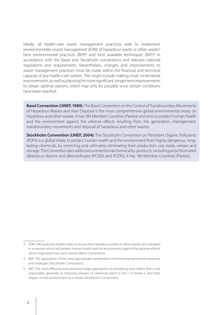Ideally, all health-care waste management practices seek to implement environmentally sound management (ESM) of hazardous waste or other waste,<sup>3</sup> best environmental practices (BEP)<sup>4</sup> and best available techniques (BAT)<sup>5</sup> in accordance with the Basel and Stockholm conventions and relevant national regulations and requirements. Nevertheless, changes and improvements to waste management practices must be made within the financial and technical capacity of any health-care system. This might include making small, incremental improvements, as well as planning for more significant, longer term improvements to obtain optimal options, which may only be possible once certain conditions have been reached.

**Basel Convention (UNEP, 1989):** The Basel Convention on the Control of Transboundary Movements of Hazardous Wastes and their Disposal is the most comprehensive global environmental treaty on hazardous and other wastes. It has 184 Member Countries (Parties) and aims to protect human health and the environment against the adverse effects resulting from the generation, management, transboundary movements and disposal of hazardous and other wastes.

**Stockholm Convention (UNEP, 2004):** The Stockholm Convention on Persistent Organic Pollutants (POPs) is a global treaty to protect human health and the environment from highly dangerous, longlasting chemicals, by restricting and ultimately eliminating their production, use, trade, release and storage. The Convention also addresses unintentional chemical by-products, including polychlorinated dibenzo-p-dioxins and dibenzofurans (PCDDs and PCDFs). It has 180 Member Countries (Parties).

<sup>3.</sup> ESM: Taking all practicable steps to ensure that hazardous wastes or other wastes are managed in a manner which will protect human health and the environment against the adverse effects which may result from such wastes (Basel Convention).

<sup>4.</sup> BEP: The application of the most appropriate combination of environmental control measures and strategies (Stockholm Convention).

<sup>5.</sup> BAT: The most effective and advanced stage approaches to preventing and, where that is not practicable, generally to reducing releases of chemicals listed in Part I of Annex C and their impact on the environment as a whole (Stockholm Convention).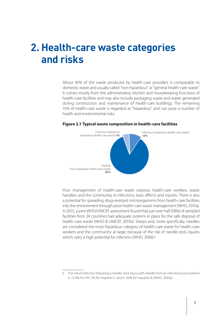# <span id="page-6-0"></span>**2. Health-care waste categories and risks**

About 85% of the waste produced by health-care providers is comparable to domestic waste and usually called "non-hazardous" or "general health-care waste". It comes mostly from the administrative, kitchen and housekeeping functions of health-care facilities and may also include packaging waste and waste generated during construction and maintenance of health-care buildings. The remaining 15% of health-care waste is regarded as "hazardous" and can pose a number of health and environmental risks.



#### **Figure 2.1 Typical waste composition in health-care facilities**

Poor management of health-care waste exposes health-care workers, waste handlers and the community to infections, toxic effects and injuries. There is also a potential for spreading drug-resistant microorganisms from health-care facilities into the environment through poor health-care waste management (WHO, 2015a). In 2015, a joint WHO/UNICEF assessment found that just over half (58%) of sampled facilities from 24 countries had adequate systems in place for the safe disposal of health-care waste (WHO & UNICEF, 2015b). Sharps and, more specifically, needles are considered the most hazardous category of health-care waste for health-care workers and the community at large, because of the risk of needle-stick injuries which carry a high potential for infection (WHO, 2006). 6

<sup>6.</sup> The risk of infection following a needle-stick injury with needle from an infected source patient is ~0.3% for HIV, 3% for hepatitis C and 6–30% for hepatitis B (WHO, 2003a).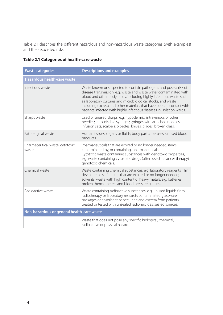Table 2.1 describes the different hazardous and non-hazardous waste categories (with examples) and the associated risks.

### **Table 2.1 Categories of health-care waste**

| <b>Waste categories</b>                    | <b>Descriptions and examples</b>                                                                                                                                                                                                                                                                                                                                                                                               |  |  |  |
|--------------------------------------------|--------------------------------------------------------------------------------------------------------------------------------------------------------------------------------------------------------------------------------------------------------------------------------------------------------------------------------------------------------------------------------------------------------------------------------|--|--|--|
| <b>Hazardous health-care waste</b>         |                                                                                                                                                                                                                                                                                                                                                                                                                                |  |  |  |
| Infectious waste                           | Waste known or suspected to contain pathogens and pose a risk of<br>disease transmission, e.g. waste and waste water contaminated with<br>blood and other body fluids, including highly infectious waste such<br>as laboratory cultures and microbiological stocks; and waste<br>including excreta and other materials that have been in contact with<br>patients infected with highly infectious diseases in isolation wards. |  |  |  |
| Sharps waste                               | Used or unused sharps, e.g. hypodermic, intravenous or other<br>needles; auto-disable syringes; syringes with attached needles;<br>infusion sets; scalpels; pipettes; knives; blades; broken glass.                                                                                                                                                                                                                            |  |  |  |
| Pathological waste                         | Human tissues, organs or fluids; body parts; foetuses; unused blood<br>products.                                                                                                                                                                                                                                                                                                                                               |  |  |  |
| Pharmaceutical waste, cytotoxic<br>waste   | Pharmaceuticals that are expired or no longer needed; items<br>contaminated by, or containing, pharmaceuticals.<br>Cytotoxic waste containing substances with genotoxic properties,<br>e.g. waste containing cytostatic drugs (often used in cancer therapy);<br>genotoxic chemicals.                                                                                                                                          |  |  |  |
| Chemical waste                             | Waste containing chemical substances, e.g. laboratory reagents; film<br>developer; disinfectants that are expired or no longer needed;<br>solvents; waste with high content of heavy metals, e.g. batteries,<br>broken thermometers and blood pressure gauges.                                                                                                                                                                 |  |  |  |
| Radioactive waste                          | Waste containing radioactive substances, e.g. unused liquids from<br>radiotherapy or laboratory research; contaminated glassware,<br>packages or absorbent paper; urine and excreta from patients<br>treated or tested with unsealed radionuclides; sealed sources.                                                                                                                                                            |  |  |  |
| Non-hazardous or general health-care waste |                                                                                                                                                                                                                                                                                                                                                                                                                                |  |  |  |
|                                            | Waste that does not pose any specific biological, chemical,<br>radioactive or physical hazard.                                                                                                                                                                                                                                                                                                                                 |  |  |  |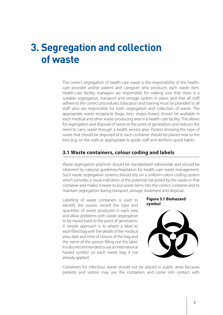# <span id="page-8-0"></span>**3. Segregation and collection of waste**

The correct segregation of health-care waste is the responsibility of the healthcare provider and/or patient and caregiver who produces each waste item. Health-care facility managers are responsible for making sure that there is a suitable segregation, transport and storage system in place and that all staff adhere to the correct procedures. Education and training must be provided to all staff who are responsible for both segregation and collection of waste. The appropriate waste receptacle (bags, bins, sharps boxes) should be available in each medical and other waste-producing area in a health-care facility. This allows for segregation and disposal of waste at the point of generation, and reduces the need to carry waste through a health service area. Posters showing the type of waste that should be disposed of in each container should be placed near to the bins (e.g. on the walls as appropriate) to guide staff and reinforce good habits.

### **3.1 Waste containers, colour coding and labels**

Waste segregation practices should be standardized nationwide and should be informed by national guidelines/legislation for health-care waste management. Such waste segregation systems should rely on a uniform colour coding system which provides a visual indication of the potential risk posed by the waste in that container and makes it easier to put waste items into the correct container and to maintain segregation during transport, storage, treatment and disposal.

Labelling of waste containers is used to identify the source, record the type and quantities of waste produced in each area and allow problems with waste segregation to be traced back to the point of generation. A simple approach is to attach a label to each filled bag with the details of the medical area, date and time of closure of the bag and the name of the person filling out the label. It is also recommended to use an international hazard symbol on each waste bag if not already applied.





Containers for infectious waste should not be placed in public areas because patients and visitors may use the containers and come into contact with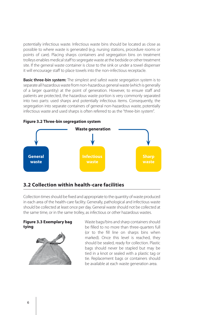<span id="page-9-0"></span>potentially infectious waste. Infectious waste bins should be located as close as possible to where waste is generated (e.g. nursing stations, procedure rooms or points of care). Placing sharps containers and segregation bins on treatment trolleys enables medical staff to segregate waste at the bedside or other treatment site. If the general waste container is close to the sink or under a towel dispenser it will encourage staff to place towels into the non-infectious receptacle.

**Basic three-bin system:** The simplest and safest waste segregation system is to separate all hazardous waste from non-hazardous general waste (which is generally of a larger quantity) at the point of generation. However, to ensure staff and patients are protected, the hazardous waste portion is very commonly separated into two parts: used sharps and potentially infectious items. Consequently, the segregation into separate containers of general non-hazardous waste, potentially infectious waste and used sharps is often referred to as the "three-bin system".



#### **Figure 3.2 Three-bin segregation system**

### **3.2 Collection within health-care facilities**

Collection times should be fixed and appropriate to the quantity of waste produced in each area of the health-care facility. Generally, pathological and infectious waste should be collected at least once per day. General waste should not be collected at the same time, or in the same trolley, as infectious or other hazardous wastes.

#### **Figure 3.3 Exemplary bag tying**



Waste bags/bins and sharp containers should be filled to no more than three-quarters full (or to the fill line on sharps bins when marked). Once this level is reached, they should be sealed, ready for collection. Plastic bags should never be stapled but may be tied in a knot or sealed with a plastic tag or tie. Replacement bags or containers should be available at each waste generation area.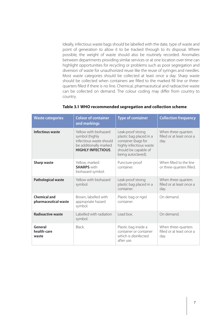Ideally, infectious waste bags should be labelled with the date, type of waste and point of generation to allow it to be tracked through to its disposal. Where possible, the weight of waste should also be routinely recorded. Anomalies between departments providing similar services or at one location over time can highlight opportunities for recycling or problems such as poor segregation and diversion of waste for unauthorized reuse like the reuse of syringes and needles. Most waste categories should be collected at least once a day. Sharp waste should be collected when containers are filled to the marked fill line or threequarters filled if there is no line. Chemical, pharmaceutical and radioactive waste can be collected on demand. The colour coding may differ from country to country.

| <b>Waste categories</b>                     | <b>Colour of container</b><br>and markings                                                                                | <b>Type of container</b>                                                                                                                     | <b>Collection frequency</b>                              |
|---------------------------------------------|---------------------------------------------------------------------------------------------------------------------------|----------------------------------------------------------------------------------------------------------------------------------------------|----------------------------------------------------------|
| <b>Infectious waste</b>                     | Yellow with biohazard<br>symbol (highly<br>infectious waste should<br>be additionally marked<br><b>HIGHLY INFECTIOUS.</b> | Leak-proof strong<br>plastic bag placed in a<br>container (bags for<br>highly infectious waste<br>should be capable of<br>being autoclaved). | When three-quarters<br>filled or at least once a<br>day. |
| <b>Sharp waste</b>                          | Yellow, marked<br><b>SHARPS</b> with<br>biohazard symbol.                                                                 | Puncture-proof<br>container.                                                                                                                 | When filled to the line<br>or three-quarters filled.     |
| <b>Pathological waste</b>                   | Yellow with biohazard<br>symbol.                                                                                          | Leak-proof strong<br>plastic bag placed in a<br>container.                                                                                   | When three-quarters<br>filled or at least once a<br>day. |
| <b>Chemical and</b><br>pharmaceutical waste | Brown, labelled with<br>appropriate hazard<br>symbol.                                                                     | Plastic bag or rigid<br>container.                                                                                                           | On demand.                                               |
| <b>Radioactive waste</b>                    | Labelled with radiation<br>symbol.                                                                                        | Lead box.                                                                                                                                    | On demand.                                               |
| General<br>health-care<br>waste             | Black.                                                                                                                    | Plastic bag inside a<br>container or container<br>which is disinfected<br>after use.                                                         | When three-quarters<br>filled or at least once a<br>day. |

#### **Table 3.1 WHO recommended segregation and collection scheme**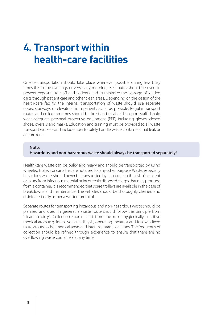# <span id="page-11-0"></span>**4. Transport within health-care facilities**

On-site transportation should take place whenever possible during less busy times (i.e. in the evenings or very early morning). Set routes should be used to prevent exposure to staff and patients and to minimize the passage of loaded carts through patient care and other clean areas. Depending on the design of the health-care facility, the internal transportation of waste should use separate floors, stairways or elevators from patients as far as possible. Regular transport routes and collection times should be fixed and reliable. Transport staff should wear adequate personal protective equipment (PPE) including gloves, closed shoes, overalls and masks. Education and training must be provided to all waste transport workers and include how to safely handle waste containers that leak or are broken.

#### **Note:**

#### **Hazardous and non-hazardous waste should always be transported separately!**

Health-care waste can be bulky and heavy and should be transported by using wheeled trolleys or carts that are not used for any other purpose. Waste, especially hazardous waste, should never be transported by hand due to the risk of accident or injury from infectious material or incorrectly disposed sharps that may protrude from a container. It is recommended that spare trolleys are available in the case of breakdowns and maintenance. The vehicles should be thoroughly cleaned and disinfected daily as per a written protocol.

Separate routes for transporting hazardous and non-hazardous waste should be planned and used. In general, a waste route should follow the principle from "clean to dirty". Collection should start from the most hygienically sensitive medical areas (e.g. intensive care, dialysis, operating theatres) and follow a fixed route around other medical areas and interim storage locations. The frequency of collection should be refined through experience to ensure that there are no overflowing waste containers at any time.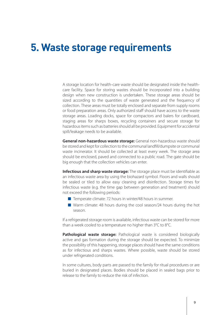### <span id="page-12-0"></span>**5. Waste storage requirements**

A storage location for health-care waste should be designated inside the healthcare facility. Space for storing wastes should be incorporated into a building design when new construction is undertaken. These storage areas should be sized according to the quantities of waste generated and the frequency of collection. These areas must be totally enclosed and separate from supply rooms or food preparation areas. Only authorized staff should have access to the waste storage areas. Loading docks, space for compactors and balers for cardboard, staging areas for sharps boxes, recycling containers and secure storage for hazardous items such as batteries should all be provided. Equipment for accidental spill/leakage needs to be available.

**General non-hazardous waste storage:** General non-hazardous waste should be stored and kept for collection to the communal landfill/dumpsite or communal waste incinerator. It should be collected at least every week. The storage area should be enclosed, paved and connected to a public road. The gate should be big enough that the collection vehicles can enter.

**Infectious and sharp waste storage:** The storage place must be identifiable as an infectious waste area by using the biohazard symbol. Floors and walls should be sealed or tiled to allow easy cleaning and disinfection. Storage times for infectious waste (e.g. the time gap between generation and treatment) should not exceed the following periods:

- Temperate climate: 72 hours in winter/48 hours in summer.
- Warm climate: 48 hours during the cool season/24 hours during the hot season.

If a refrigerated storage room is available, infectious waste can be stored for more than a week cooled to a temperature no higher than 3°C to 8°C.

**Pathological waste storage:** Pathological waste is considered biologically active and gas formation during the storage should be expected. To minimize the possibility of this happening, storage places should have the same conditions as for infectious and sharps wastes. Where possible, waste should be stored under refrigerated conditions.

In some cultures, body parts are passed to the family for ritual procedures or are buried in designated places. Bodies should be placed in sealed bags prior to release to the family to reduce the risk of infection.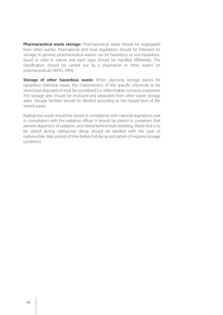**Pharmaceutical waste storage:** Pharmaceutical waste should be segregated from other wastes. International and local regulations should be followed for storage. In general, pharmaceutical wastes can be hazardous or non-hazardous, liquid or solid in nature and each type should be handled differently. The classification should be carried out by a pharmacist or other expert on pharmaceuticals (WHO, 1999).

**Storage of other hazardous waste:** When planning storage places for hazardous chemical waste, the characteristics of the specific chemicals to be stored and disposed of must be considered (i.e. inflammable, corrosive, explosive). The storage area should be enclosed and separated from other waste storage areas. Storage facilities should be labelled according to the hazard level of the stored waste.

Radioactive waste should be stored in compliance with national regulations and in consultation with the radiation officer. It should be placed in containers that prevent dispersion of radiation, and stored behind lead shielding. Waste that is to be stored during radioactive decay should be labelled with the type of radionuclide, date, period of time before full decay and details of required storage conditions.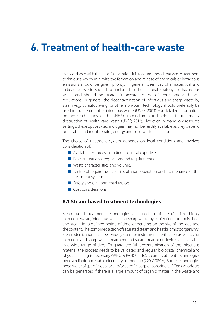### <span id="page-14-0"></span>**6. Treatment of health-care waste**

In accordance with the Basel Convention, it is recommended that waste treatment techniques which minimize the formation and release of chemicals or hazardous emissions should be given priority. In general, chemical, pharmaceutical and radioactive waste should be included in the national strategy for hazardous waste and should be treated in accordance with international and local regulations. In general, the decontamination of infectious and sharp waste by steam (e.g. by autoclaving) or other non-burn technology should preferably be used in the treatment of infectious waste (UNEP, 2003). For detailed information on these techniques see the UNEP compendium of technologies for treatment/ destruction of health-care waste (UNEP, 2012). However, in many low-resource settings, these options/technologies may not be readily available as they depend on reliable and regular water, energy and solid waste collection.

The choice of treatment system depends on local conditions and involves consideration of:

- Available resources including technical expertise.
- Relevant national regulations and requirements.
- Waste characteristics and volume.
- Technical requirements for installation, operation and maintenance of the treatment system.
- Safety and environmental factors.
- Cost considerations.

#### **6.1 Steam-based treatment technologies**

Steam-based treatment technologies are used to disinfect/sterilize highly infectious waste, infectious waste and sharp waste by subjecting it to moist heat and steam for a defined period of time, depending on the size of the load and the content. The combined action of saturated steam and heat kills microorganisms. Steam sterilization has been widely used for instrument sterilization as well as for infectious and sharp waste treatment and steam treatment devices are available in a wide range of sizes. To guarantee full decontamination of the infectious material, the process needs to be validated and regular biological, chemical and physical testing is necessary (WHO & PAHO, 2016). Steam treatment technologies need a reliable and stable electricity connection (220 V/380 V). Some technologies need water of specific quality and/or specific bags or containers. Offensive odours can be generated if there is a large amount of organic matter in the waste and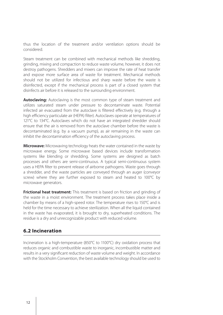<span id="page-15-0"></span>thus the location of the treatment and/or ventilation options should be considered.

Steam treatment can be combined with mechanical methods like shredding, grinding, mixing and compaction to reduce waste volume, however, it does not destroy pathogens. Shredders and mixers can improve the rate of heat transfer and expose more surface area of waste for treatment. Mechanical methods should not be utilized for infectious and sharp waste before the waste is disinfected, except if the mechanical process is part of a closed system that disinfects air before it is released to the surrounding environment.

**Autoclaving:** Autoclaving is the most common type of steam treatment and utilizes saturated steam under pressure to decontaminate waste. Potential infected air evacuated from the autoclave is filtered effectively (e.g. through a high efficiency particulate air (HEPA) filter). Autoclaves operate at temperatures of 121°C to 134°C. Autoclaves which do not have an integrated shredder should ensure that the air is removed from the autoclave chamber before the waste is decontaminated (e.g. by a vacuum pump), as air remaining in the waste can inhibit the decontamination efficiency of the autoclaving process.

**Microwave:** Microwaving technology heats the water contained in the waste by microwave energy. Some microwave based devices include transformation systems like blending or shredding. Some systems are designed as batch processes and others are semi-continuous. A typical semi-continuous system uses a HEPA filter to prevent release of airborne pathogens. Waste goes through a shredder, and the waste particles are conveyed through an auger (conveyor screw) where they are further exposed to steam and heated to 100°C by microwave generators.

**Frictional heat treatment:** This treatment is based on friction and grinding of the waste in a moist environment. The treatment process takes place inside a chamber by means of a high-speed rotor. The temperature rises to 150°C and is held for the time necessary to achieve sterilization. When all the liquid contained in the waste has evaporated, it is brought to dry, superheated conditions. The residue is a dry and unrecognizable product with reduced volume.

### **6.2 Incineration**

Incineration is a high-temperature (850°C to 1100°C) dry oxidation process that reduces organic and combustible waste to inorganic, incombustible matter and results in a very significant reduction of waste volume and weight. In accordance with the Stockholm Convention, the best available technology should be used to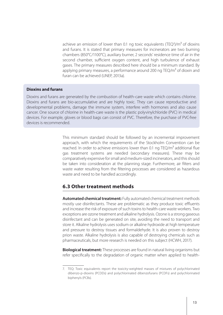<span id="page-16-0"></span>achieve an emission of lower than 0.1 ng toxic equivalents (TEQ7)/ $m<sup>3</sup>$  of dioxins and furans. It is stated that primary measures for incinerators are two burning chambers (850°C/1100°C), auxiliary burner, 2 seconds' residence time of air in the second chamber, sufficient oxygen content, and high turbulence of exhaust gases. The primary measures described here should be a minimum standard. By applying primary measures, a performance around 200 ng TEQ/ $m<sup>3</sup>$  of dioxin and furan can be achieved (UNEP, 2013a).

#### **Dioxins and furans**

Dioxins and furans are generated by the combustion of health-care waste which contains chlorine. Dioxins and furans are bio-accumulative and are highly toxic. They can cause reproductive and developmental problems, damage the immune system, interfere with hormones and also cause cancer. One source of chlorine in health-care waste is the plastic polyvinylchloride (PVC) in medical devices. For example, gloves or blood bags can consist of PVC. Therefore, the purchase of PVC-free devices is recommended.

> This minimum standard should be followed by an incremental improvement approach, with which the requirements of the Stockholm Convention can be reached. In order to achieve emissions lower than 0.1 ng  $TEQ/m<sup>3</sup>$  additional flue gas treatment systems are needed (secondary measures). These may be comparatively expensive for small and medium-sized incinerators, and this should be taken into consideration at the planning stage. Furthermore, air filters and waste water resulting from the filtering processes are considered as hazardous waste and need to be handled accordingly.

### **6.3 Other treatment methods**

**Automated chemical treatment:** Fully automated chemical treatment methods mostly use disinfectants. These are problematic as they produce toxic effluents and increase the risk of exposure of such toxins to health-care waste workers. Two exceptions are ozone treatment and alkaline hydrolysis. Ozone is a strong gaseous disinfectant and can be generated on site, avoiding the need to transport and store it. Alkaline hydrolysis uses sodium or alkaline hydroxide at high temperature and pressure to destroy tissues and formaldehyde. It is also proven to destroy prion waste. Alkaline hydrolysis is also capable of destroying chemicals such as pharmaceuticals, but more research is needed on this subject (HCWH, 2017).

**Biological treatment:** These processes are found in natural living organisms but refer specifically to the degradation of organic matter when applied to health-

<sup>7.</sup> TEQ: Toxic equivalents report the toxicity-weighted masses of mixtures of polychlorinated dibenzo-p-dioxins (PCDDs) and polychlorinated dibenzofurans (PCDFs) and polychlorinated biphenyls (PCBs).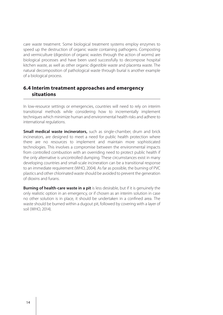<span id="page-17-0"></span>care waste treatment. Some biological treatment systems employ enzymes to speed up the destruction of organic waste containing pathogens. Composting and vermiculture (digestion of organic wastes through the action of worms) are biological processes and have been used successfully to decompose hospital kitchen waste, as well as other organic digestible waste and placenta waste. The natural decomposition of pathological waste through burial is another example of a biological process.

### **6.4 Interim treatment approaches and emergency situations**

In low-resource settings or emergencies, countries will need to rely on interim transitional methods while considering how to incrementally implement techniques which minimize human and environmental health risks and adhere to international regulations.

**Small medical waste incinerators,** such as single-chamber, drum and brick incinerators, are designed to meet a need for public health protection where there are no resources to implement and maintain more sophisticated technologies. This involves a compromise between the environmental impacts from controlled combustion with an overriding need to protect public health if the only alternative is uncontrolled dumping. These circumstances exist in many developing countries and small-scale incineration can be a transitional response to an immediate requirement (WHO, 2004). As far as possible, the burning of PVC plastics and other chlorinated waste should be avoided to prevent the generation of dioxins and furans.

**Burning of health-care waste in a pit** is less desirable, but if it is genuinely the only realistic option in an emergency, or if chosen as an interim solution in case no other solution is in place, it should be undertaken in a confined area. The waste should be burned within a dugout pit, followed by covering with a layer of soil (WHO, 2014).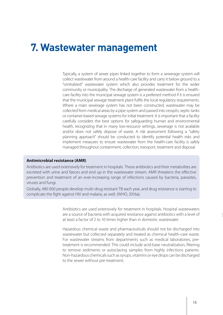### <span id="page-18-0"></span>**7. Wastewater management**

Typically, a system of sewer pipes linked together to form a sewerage system will collect wastewater from around a health-care facility and carry it below ground to a "centralized" wastewater system which also provides treatment for the wider community or municipality. The discharge of generated wastewater from a healthcare facility into the municipal sewage system is a preferred method if it is ensured that the municipal sewage treatment plant fulfils the local regulatory requirements. Where a main sewerage system has not been constructed, wastewater may be collected from medical areas by a pipe system and passed into cesspits, septic tanks or container-based sewage systems for initial treatment. It is important that a facility carefully considers the best options for safeguarding human and environmental health, recognizing that in many low-resource settings, sewerage is not available and/or does not safely dispose of waste. A risk assessment following a "safety planning approach" should be conducted to identify potential health risks and implement measures to ensure wastewater from the health-care facility is safely managed throughout containment, collection, transport, treatment and disposal.

#### **Antimicrobial resistance (AMR)**

Antibiotics are used extensively for treatment in hospitals. These antibiotics and their metabolites are excreted with urine and faeces and end up in the wastewater stream. AMR threatens the effective prevention and treatment of an ever-increasing range of infections caused by bacteria, parasites, viruses and fungi.

Globally, 480 000 people develop multi-drug resistant TB each year, and drug resistance is starting to complicate the fight against HIV and malaria, as well. (WHO, 2016a).

> Antibiotics are used extensively for treatment in hospitals. Hospital wastewaters are a source of bacteria with acquired resistance against antibiotics with a level of at least a factor of 2 to 10 times higher than in domestic wastewater.

> Hazardous chemical waste and pharmaceuticals should not be discharged into wastewater but collected separately and treated as chemical health-care waste. For wastewater streams from departments such as medical laboratories, pretreatment is recommended. This could include acid-base neutralization, filtering to remove sediments or autoclaving samples from highly infections patients. Non-hazardous chemicals such as syrups, vitamins or eye drops can be discharged to the sewer without pre-treatment.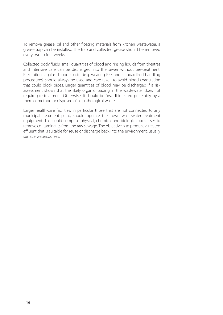To remove grease, oil and other floating materials from kitchen wastewater, a grease trap can be installed. The trap and collected grease should be removed every two to four weeks.

Collected body fluids, small quantities of blood and rinsing liquids from theatres and intensive care can be discharged into the sewer without pre-treatment. Precautions against blood spatter (e.g. wearing PPE and standardized handling procedures) should always be used and care taken to avoid blood coagulation that could block pipes. Larger quantities of blood may be discharged if a risk assessment shows that the likely organic loading in the wastewater does not require pre-treatment. Otherwise, it should be first disinfected preferably by a thermal method or disposed of as pathological waste.

Larger health-care facilities, in particular those that are not connected to any municipal treatment plant, should operate their own wastewater treatment equipment. This could comprise physical, chemical and biological processes to remove contaminants from the raw sewage. The objective is to produce a treated effluent that is suitable for reuse or discharge back into the environment, usually surface watercourses.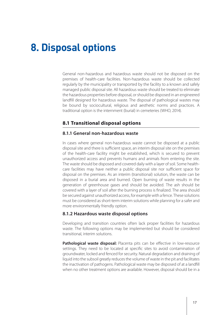# <span id="page-20-0"></span>**8. Disposal options**

General non-hazardous and hazardous waste should not be disposed on the premises of health-care facilities. Non-hazardous waste should be collected regularly by the municipality or transported by the facility to a known and safely managed public disposal site. All hazardous waste should be treated to eliminate the hazardous properties before disposal, or should be disposed in an engineered landfill designed for hazardous waste. The disposal of pathological wastes may be bound by sociocultural, religious and aesthetic norms and practices. A traditional option is the internment (burial) in cemeteries (WHO, 2014).

### **8.1 Transitional disposal options**

### **8.1.1 General non-hazardous waste**

In cases where general non-hazardous waste cannot be disposed at a public disposal site and there is sufficient space, an interim disposal site on the premises of the health-care facility might be established, which is secured to prevent unauthorized access and prevents humans and animals from entering the site. The waste should be disposed and covered daily with a layer of soil. Some healthcare facilities may have neither a public disposal site nor sufficient space for disposal on the premises. As an interim (transitional) solution, the waste can be disposed in a burial area and burned. Open burning of waste results in the generation of greenhouse gases and should be avoided. The ash should be covered with a layer of soil after the burning process is finalized. The area should be secured against unauthorized access, for example with a fence. These solutions must be considered as short-term interim solutions while planning for a safer and more environmentally friendly option.

#### **8.1.2 Hazardous waste disposal options**

Developing and transition countries often lack proper facilities for hazardous waste. The following options may be implemented but should be considered transitional, interim solutions.

**Pathological waste disposal:** Placenta pits can be effective in low-resource settings. They need to be located at specific sites to avoid contamination of groundwater, locked and fenced for security. Natural degradation and draining of liquid into the subsoil greatly reduces the volume of waste in the pit and facilitates the inactivation of pathogens. Pathological waste may be disposed of at a landfill when no other treatment options are available. However, disposal should be in a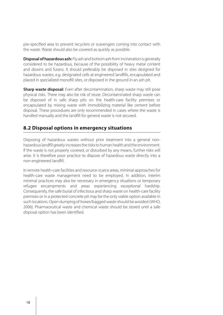<span id="page-21-0"></span>pre-specified area to prevent recyclers or scavengers coming into contact with the waste. Waste should also be covered as quickly as possible.

**Disposal of hazardous ash:** Fly ash and bottom ash from incineration is generally considered to be hazardous, because of the possibility of heavy metal content and dioxins and furans. It should preferably be disposed in sites designed for hazardous wastes, e.g. designated cells at engineered landfills, encapsulated and placed in specialized monofill sites, or disposed in the ground in an ash pit.

**Sharp waste disposal:** Even after decontamination, sharp waste may still pose physical risks. There may also be risk of reuse. Decontaminated sharp waste can be disposed of in safe sharp pits on the health-care facility premises or encapsulated by mixing waste with immobilizing material like cement before disposal. These procedures are only recommended in cases where the waste is handled manually and the landfill for general waste is not secured.

### **8.2 Disposal options in emergency situations**

Disposing of hazardous wastes without prior treatment into a general nonhazardous landfill greatly increases the risks to human health and the environment. If the waste is not properly covered, or disturbed by any means, further risks will arise. It is therefore poor practice to dispose of hazardous waste directly into a non-engineered landfill.

In remote health-care facilities and resource-scarce areas, minimal approaches for health-care waste management need to be employed. In addition, interim minimal practices may also be necessary in emergency situations or temporary refugee encampments and areas experiencing exceptional hardship. Consequently, the safe burial of infectious and sharp waste on health-care facility premises or in a protected concrete pit may be the only viable option available in such locations. Open dumping of boxes/bagged waste should be avoided (WHO, 2006). Pharmaceutical waste and chemical waste should be stored until a safe disposal option has been identified.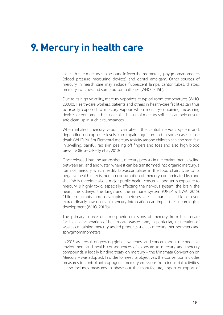### <span id="page-22-0"></span>**9. Mercury in health care**

In health care, mercury can be found in fever thermometers, sphygmomanometers (blood pressure measuring devices) and dental amalgam. Other sources of mercury in health care may include fluorescent lamps, cantor tubes, dilators, mercury switches and some button batteries (WHO, 2015b).

Due to its high volatility, mercury vaporizes at typical room temperatures (WHO, 2003b). Health-care workers, patients and others in health-care facilities can thus be readily exposed to mercury vapour when mercury-containing measuring devices or equipment break or spill. The use of mercury spill kits can help ensure safe clean-up in such circumstances.

When inhaled, mercury vapour can affect the central nervous system and, depending on exposure levels, can impair cognition and in some cases cause death (WHO, 2015b). Elemental mercury toxicity among children can also manifest in swelling, painful, red skin peeling off fingers and toes and also high blood pressure (Bose-O'Reilly et al, 2010).

Once released into the atmosphere, mercury persists in the environment, cycling between air, land and water, where it can be transformed into organic mercury, a form of mercury which readily bio-accumulates in the food chain. Due to its negative health effects, human consumption of mercury-contaminated fish and shellfish is therefore also a major public health concern. Long-term exposure to mercury is highly toxic, especially affecting the nervous system, the brain, the heart, the kidneys, the lungs and the immune system (UNEP & ISWA, 2015). Children, infants and developing foetuses are at particular risk as even extraordinarily low doses of mercury intoxication can impair their neurological development (WHO, 2015b).

The primary source of atmospheric emissions of mercury from health-care facilities is incineration of health-care wastes, and, in particular, incineration of wastes containing mercury-added products such as mercury thermometers and sphygmomanometers.

In 2013, as a result of growing global awareness and concern about the negative environment and health consequences of exposure to mercury and mercury compounds, a legally binding treaty on mercury – the Minamata Convention on Mercury – was adopted. In order to meet its objectives, the Convention includes measures to control anthropogenic mercury emissions from industrial activities. It also includes measures to phase out the manufacture, import or export of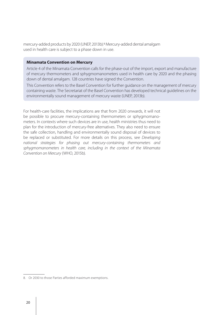mercury-added products by 2020 (UNEP, 2013b). <sup>8</sup> Mercury-added dental amalgam used in health care is subject to a phase down in use.

#### **Minamata Convention on Mercury**

Article 4 of the Minamata Convention calls for the phase-out of the import, export and manufacture of mercury thermometers and sphygmomanometers used in health care by 2020 and the phasing down of dental amalgam. 128 countries have signed the Convention.

This Convention refers to the Basel Convention for further guidance on the management of mercury containing waste. The Secretariat of the Basel Convention has developed technical guidelines on the environmentally sound management of mercury waste (UNEP, 2013b).

For health-care facilities, the implications are that from 2020 onwards, it will not be possible to procure mercury-containing thermometers or sphygmomanometers. In contexts where such devices are in use, health ministries thus need to plan for the introduction of mercury-free alternatives. They also need to ensure the safe collection, handling and environmentally sound disposal of devices to be replaced or substituted. For more details on this process, see *Developing national strategies for phasing out mercury-containing thermometers and sphygmomanometers in health care, including in the context of the Minamata Convention on Mercury* (WHO, 2015b).

<sup>8.</sup> Or 2030 to those Parties afforded maximum exemptions.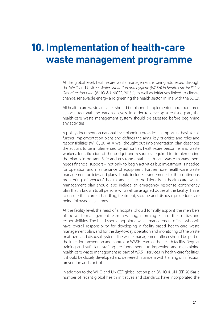# <span id="page-24-0"></span>**10. Implementation of health-care waste management programme**

At the global level, health-care waste management is being addressed through the WHO and UNICEF *Water, sanitation and hygiene (WASH) in health care facilities: Global action plan* (WHO & UNICEF, 2015a), as well as initiatives linked to climate change, renewable energy and greening the health sector, in line with the SDGs.

All health-care waste activities should be planned, implemented and monitored at local, regional and national levels. In order to develop a realistic plan, the health-care waste management system should be assessed before beginning any activities.

A policy document on national level planning provides an important basis for all further implementation plans and defines the aims, key priorities and roles and responsibilities (WHO, 2014). A well thought out implementation plan describes the actions to be implemented by authorities, health-care personnel and waste workers. Identification of the budget and resources required for implementing the plan is important. Safe and environmental health-care waste management needs financial support – not only to begin activities but investment is needed for operation and maintenance of equipment. Furthermore, health-care waste management policies and plans should include arrangements for the continuous monitoring of workers' health and safety. Additionally, a health-care waste management plan should also include an emergency response contingency plan that is known to all persons who will be assigned duties at the facility. This is to ensure that correct handling, treatment, storage and disposal procedures are being followed at all times.

At the facility level, the head of a hospital should formally appoint the members of the waste management team in writing, informing each of their duties and responsibilities. The head should appoint a waste management officer who will have overall responsibility for developing a facility-based health-care waste management plan, and for the day-to-day operation and monitoring of the waste treatment and disposal system. The waste management officer should be part of the infection prevention and control or WASH team of the health facility. Regular training and sufficient staffing are fundamental to improving and maintaining health-care waste management as part of WASH services in health-care facilities. It should be closely developed and delivered in tandem with training on infection prevention and control.

In addition to the WHO and UNICEF global action plan (WHO & UNICEF, 2015a), a number of recent global health initiatives and standards have incorporated the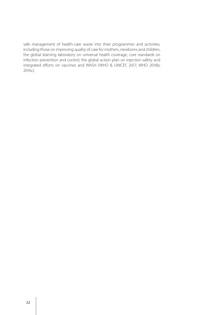safe management of health-care waste into their programmes and activities, including those on improving quality of care for mothers, newborns and children, the global learning laboratory on universal health coverage, core standards on infection prevention and control, the global action plan on injection safety and integrated efforts on vaccines and WASH (WHO & UNICEF, 2017; WHO 2016b; 2016c).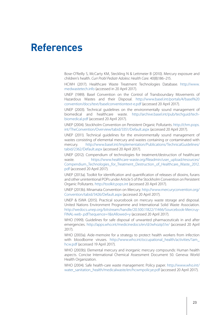### <span id="page-26-0"></span>**References**

Bose-O'Reilly S, McCarty KM, Steckling N & Lettmeier B (2010). Mercury exposure and children's health. *Curr Probl Pediatr Adolesc Health Care*. 40(8):186–215.

HCWH (2017). Healthcare Waste Treatment Technologies Database. [http://www.](http://www.medwastetech.info) [medwastetech.info](http://www.medwastetech.info) (accessed in 20 April 2017).

UNEP (1989). Basel Convention on the Control of Transboundary Movements of Hazardous Wastes and their Disposal. [http://www.basel.int/portals/4/basel%20](http://www.basel.int/portals/4/basel%20convention/docs/text/baselconventiontext-e.pdf) [convention/docs/text/baselconventiontext-e.pdf](http://www.basel.int/portals/4/basel%20convention/docs/text/baselconventiontext-e.pdf) (accessed 20 April 2017).

UNEP (2003). Technical guidelines on the environmentally sound management of biomedical and healthcare waste. [http://archive.basel.int/pub/techguid/tech](http://archive.basel.int/pub/techguid/tech-biomedical.pdf)[biomedical.pdf](http://archive.basel.int/pub/techguid/tech-biomedical.pdf) (accessed 20 April 2017).

UNEP (2004). Stockholm Convention on Persistent Organic Pollutants. [http://chm.pops.](http://chm.pops.int/TheConvention/Overview/tabid/3351/Default.aspx) [int/TheConvention/Overview/tabid/3351/Default.aspx](http://chm.pops.int/TheConvention/Overview/tabid/3351/Default.aspx) (accessed 20 April 2017).

UNEP (2011). Technical guidelines for the environmentally sound management of wastes consisting of elemental mercury and wastes containing or contaminated with mercury. [http://www.basel.int/Implementation/Publications/TechnicalGuidelines/](http://www.basel.int/Implementation/Publications/TechnicalGuidelines/tabid/2362/Default.aspx) [tabid/2362/Default.aspx](http://www.basel.int/Implementation/Publications/TechnicalGuidelines/tabid/2362/Default.aspx) (accessed 20 April 2017).

UNEP (2012). Compendium of technologies for treatment/destruction of healthcare waste. [https://www.healthcare-waste.org/fileadmin/user\\_upload/resources/](https://www.healthcare-waste.org/fileadmin/user_upload/resources/Compendium_Technologies_for_Treatment_Destruction_of_Healthcare_Waste_2012.pdf) Compendium Technologies for Treatment Destruction of Healthcare Waste 2012. [pdf](https://www.healthcare-waste.org/fileadmin/user_upload/resources/Compendium_Technologies_for_Treatment_Destruction_of_Healthcare_Waste_2012.pdf) (accessed 20 April 2017).

UNEP (2013a). Toolkit for identification and quantification of releases of dioxins, furans and other unintentional POPs under Article 5 of the Stockholm Convention on Persistent Organic Pollutants. <http://toolkit.pops.int>(accessed 20 April 2017).

UNEP (2013b). Minamata Convention on Mercury. [http://www.mercuryconvention.org/](http://www.mercuryconvention.org/Convention/tabid/3426/Default.aspx) [Convention/tabid/3426/Default.aspx](http://www.mercuryconvention.org/Convention/tabid/3426/Default.aspx) (accessed 20 April 2017).

UNEP & ISWA (2015). Practical sourcebook on mercury waste storage and disposal. United Nations Environment Programme and International Solid Waste Association. [http://wedocs.unep.org/bitstream/handle/20.500.11822/11466/Sourcebook-Mercruy-](http://wedocs.unep.org/bitstream/handle/20.500.11822/11466/Sourcebook-Mercruy-FINAL-web-.pdf?sequence=1&isAllowed=y)[FINAL-web-.pdf?sequence=1&isAllowed=y](http://wedocs.unep.org/bitstream/handle/20.500.11822/11466/Sourcebook-Mercruy-FINAL-web-.pdf?sequence=1&isAllowed=y) (accessed 20 April 2017).

WHO (1999). Guidelines for safe disposal of unwanted pharmaceuticals in and after emergencies. <http://apps.who.int/medicinedocs/en/d/Jwhozip51e/> (accessed 20 April 2017).

WHO (2003a). Aide-memoire for a strategy to protect health workers from infection with bloodborne viruses. [http://www.who.int/occupational\\_health/activities/1am\\_](http://www.who.int/occupational_health/activities/1am_hcw.pdf) [hcw.pdf](http://www.who.int/occupational_health/activities/1am_hcw.pdf) (accessed 19 April 2017).

WHO (2003b). Elemental mercury and inorganic mercury compounds: Human health aspects. Concise International Chemical Assessment Document 50. Geneva: World Health Organization.

WHO (2004). Safe health-care waste management: Policy paper. [http://www.who.int/](http://www.who.int/water_sanitation_health/medicalwaste/en/hcwmpolicye.pdf) [water\\_sanitation\\_health/medicalwaste/en/hcwmpolicye.pdf](http://www.who.int/water_sanitation_health/medicalwaste/en/hcwmpolicye.pdf) (accessed 20 April 2017).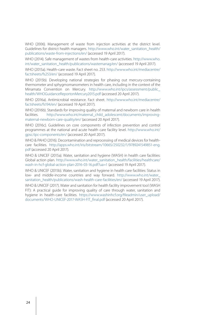WHO (2006). Management of waste from injection activities at the district level. Guidelines for district health managers. [http://www.who.int/water\\_sanitation\\_health/](http://www.who.int/water_sanitation_health/publications/waste-from-injections/en/) [publications/waste-from-injections/en/](http://www.who.int/water_sanitation_health/publications/waste-from-injections/en/) (accessed 19 April 2017).

WHO (2014). Safe management of wastes from health-care activities. [http://www.who.](http://www.who.int/water_sanitation_health/publications/wastemanag/en/) [int/water\\_sanitation\\_health/publications/wastemanag/en/](http://www.who.int/water_sanitation_health/publications/wastemanag/en/) (accessed 19 April 2017).

WHO (2015a). Health-care waste. Fact sheet no. 253. [http://www.who.int/mediacentre/](http://www.who.int/mediacentre/factsheets/fs253/en/) [factsheets/fs253/en/](http://www.who.int/mediacentre/factsheets/fs253/en/) (accessed 19 April 2017).

WHO (2015b). Developing national strategies for phasing out mercury-containing thermometer and sphygmomanometers in health care, including in the context of the Minamata Convention on Mercury. [http://www.who.int/ipcs/assessment/public\\_](http://www.who.int/ipcs/assessment/public_health/WHOGuidanceReportonMercury2015.pdf) [health/WHOGuidanceReportonMercury2015.pdf](http://www.who.int/ipcs/assessment/public_health/WHOGuidanceReportonMercury2015.pdf) (accessed 20 April 2017).

WHO (2016a). Antimicrobial resistance. Fact sheet. [http://www.who.int/mediacentre/](http://www.who.int/mediacentre/factsheets/fs194/en/) [factsheets/fs194/en/](http://www.who.int/mediacentre/factsheets/fs194/en/) (accessed 19 April 2017).

WHO (2016b). Standards for improving quality of maternal and newborn care in health facilities. [http://www.who.int/maternal\\_child\\_adolescent/documents/improving](http://www.who.int/maternal_child_adolescent/documents/improving-maternal-newborn-care-quality/en/)[maternal-newborn-care-quality/en/](http://www.who.int/maternal_child_adolescent/documents/improving-maternal-newborn-care-quality/en/) (accessed 20 April 2017).

WHO (2016c). Guidelines on core components of infection prevention and control programmes at the national and acute health care facility level. [http://www.who.int/](http://www.who.int/gpsc/ipc-components/en/) [gpsc/ipc-components/en/](http://www.who.int/gpsc/ipc-components/en/) (accessed 20 April 2017).

WHO & PAHO (2016). Decontamination and reprocessing of medical devices for healthcare facilities. [http://apps.who.int/iris/bitstream/10665/250232/1/9789241549851-eng.](http://apps.who.int/iris/bitstream/10665/250232/1/9789241549851-eng.pdf) [pdf](http://apps.who.int/iris/bitstream/10665/250232/1/9789241549851-eng.pdf) (accessed 20 April 2017).

WHO & UNICEF (2015a). Water, sanitation and hygiene (WASH) in health care facilities: Global action plan. [http://www.who.int/water\\_sanitation\\_health/facilities/healthcare/](http://www.who.int/water_sanitation_health/facilities/healthcare/wash-in-hcf-global-action-plan-2016-03-16.pdf?ua=1) [wash-in-hcf-global-action-plan-2016-03-16.pdf?ua=1](http://www.who.int/water_sanitation_health/facilities/healthcare/wash-in-hcf-global-action-plan-2016-03-16.pdf?ua=1) (accessed 19 April 2017).

WHO & UNICEF (2015b). Water, sanitation and hygiene in health care facilities: Status in low- and middle-income countries and way forward. [http://www.who.int/water\\_](http://www.who.int/water_sanitation_health/publications/wash-health-care-facilities/en/) [sanitation\\_health/publications/wash-health-care-facilities/en/](http://www.who.int/water_sanitation_health/publications/wash-health-care-facilities/en/) (accessed 19 April 2017).

WHO & UNICEF (2017). Water and sanitation for health facility improvement tool (WASH FIT): A practical guide for improving quality of care through water, sanitation and hygiene in health-care facilities. [https://www.washinhcf.org/fileadmin/user\\_upload/](https://www.washinhcf.org/fileadmin/user_upload/documents/WHO-UNICEF-2017-WASH-FIT_final.pdf) [documents/WHO-UNICEF-2017-WASH-FIT\\_final.pdf](https://www.washinhcf.org/fileadmin/user_upload/documents/WHO-UNICEF-2017-WASH-FIT_final.pdf) (accessed 20 April 2017).